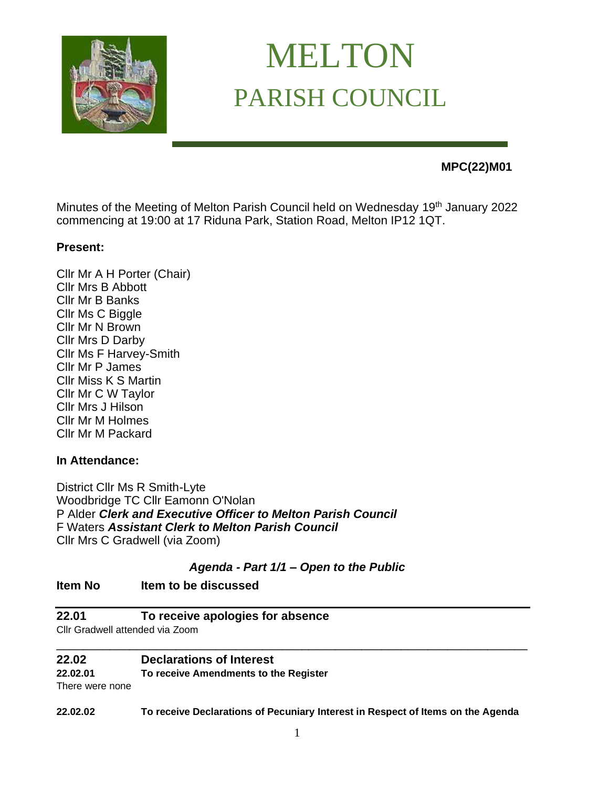

# MELTON PARISH COUNCIL

# **MPC(22)M01**

Minutes of the Meeting of Melton Parish Council held on Wednesday 19<sup>th</sup> January 2022 commencing at 19:00 at 17 Riduna Park, Station Road, Melton IP12 1QT.

# **Present:**

Cllr Mr A H Porter (Chair) Cllr Mrs B Abbott Cllr Mr B Banks Cllr Ms C Biggle Cllr Mr N Brown Cllr Mrs D Darby Cllr Ms F Harvey-Smith Cllr Mr P James Cllr Miss K S Martin Cllr Mr C W Taylor Cllr Mrs J Hilson Cllr Mr M Holmes Cllr Mr M Packard

# **In Attendance:**

District Cllr Ms R Smith-Lyte Woodbridge TC Cllr Eamonn O'Nolan P Alder *Clerk and Executive Officer to Melton Parish Council*  F Waters *Assistant Clerk to Melton Parish Council* Cllr Mrs C Gradwell (via Zoom)

# *Agenda - Part 1/1 – Open to the Public*

# **Item No Item to be discussed**

# **22.01 To receive apologies for absence**

Cllr Gradwell attended via Zoom

#### **22.02 Declarations of Interest**

**22.02.01 To receive Amendments to the Register**

There were none

**22.02.02 To receive Declarations of Pecuniary Interest in Respect of Items on the Agenda** 

\_\_\_\_\_\_\_\_\_\_\_\_\_\_\_\_\_\_\_\_\_\_\_\_\_\_\_\_\_\_\_\_\_\_\_\_\_\_\_\_\_\_\_\_\_\_\_\_\_\_\_\_\_\_\_\_\_\_\_\_\_\_\_\_\_\_\_\_\_\_\_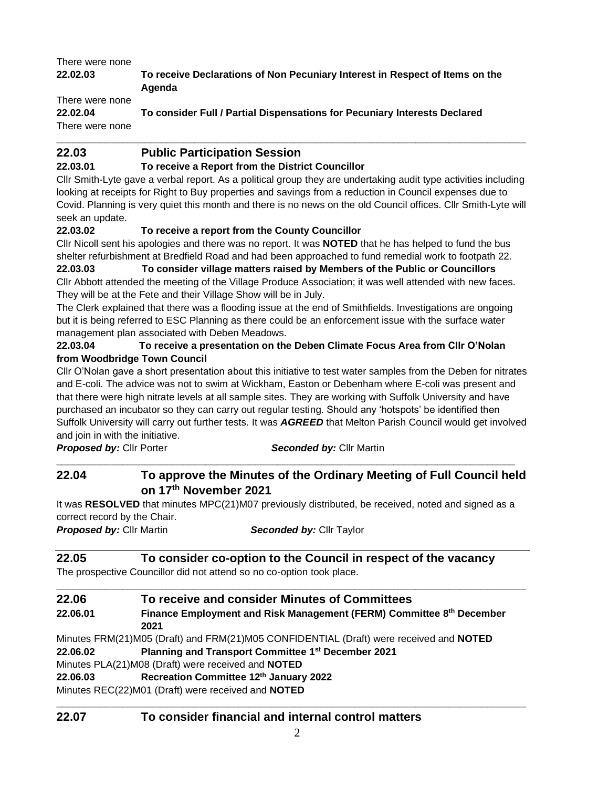# There were none **22.02.03 To receive Declarations of Non Pecuniary Interest in Respect of Items on the Agenda** There were none

**22.02.04 To consider Full / Partial Dispensations for Pecuniary Interests Declared**  There were none

# **22.03 Public Participation Session**

# **22.03.01 To receive a Report from the District Councillor**

Cllr Smith-Lyte gave a verbal report. As a political group they are undertaking audit type activities including looking at receipts for Right to Buy properties and savings from a reduction in Council expenses due to Covid. Planning is very quiet this month and there is no news on the old Council offices. Cllr Smith-Lyte will seek an update.

**\_\_\_\_\_\_\_\_\_\_\_\_\_\_\_\_\_\_\_\_\_\_\_\_\_\_\_\_\_\_\_\_\_\_\_\_\_\_\_\_\_\_\_\_\_\_\_\_\_\_\_\_\_\_\_\_\_\_\_\_\_\_\_\_\_\_\_\_\_\_\_\_\_\_\_\_\_\_\_\_\_\_\_\_\_**

# **22.03.02 To receive a report from the County Councillor**

Cllr Nicoll sent his apologies and there was no report. It was **NOTED** that he has helped to fund the bus shelter refurbishment at Bredfield Road and had been approached to fund remedial work to footpath 22.

**22.03.03 To consider village matters raised by Members of the Public or Councillors**  Cllr Abbott attended the meeting of the Village Produce Association; it was well attended with new faces. They will be at the Fete and their Village Show will be in July.

The Clerk explained that there was a flooding issue at the end of Smithfields. Investigations are ongoing but it is being referred to ESC Planning as there could be an enforcement issue with the surface water management plan associated with Deben Meadows.

#### **22.03.04 To receive a presentation on the Deben Climate Focus Area from Cllr O'Nolan from Woodbridge Town Council**

Cllr O'Nolan gave a short presentation about this initiative to test water samples from the Deben for nitrates and E-coli. The advice was not to swim at Wickham, Easton or Debenham where E-coli was present and that there were high nitrate levels at all sample sites. They are working with Suffolk University and have purchased an incubator so they can carry out regular testing. Should any 'hotspots' be identified then Suffolk University will carry out further tests. It was *AGREED* that Melton Parish Council would get involved and join in with the initiative.

**Proposed by: Cllr Porter** *Seconded by: Cllr Martin* 

# **22.04 To approve the Minutes of the Ordinary Meeting of Full Council held on 17th November 2021**

**\_\_\_\_\_\_\_\_\_\_\_\_\_\_\_\_\_\_\_\_\_\_\_\_\_\_\_\_\_\_\_\_\_\_\_\_\_\_\_\_\_\_\_\_\_\_\_\_\_\_\_\_\_\_\_\_\_\_\_\_\_\_\_\_\_\_\_\_\_\_\_\_\_\_\_\_\_\_\_\_\_\_\_**

It was **RESOLVED** that minutes MPC(21)M07 previously distributed, be received, noted and signed as a correct record by the Chair.

*Proposed by:* Cllr Martin*Seconded by:* Cllr Taylor

# **22.05 To consider co-option to the Council in respect of the vacancy**

The prospective Councillor did not attend so no co-option took place.

| 22.06    | To receive and consider Minutes of Committees                                          |  |
|----------|----------------------------------------------------------------------------------------|--|
| 22.06.01 | Finance Employment and Risk Management (FERM) Committee 8th December                   |  |
|          | 2021                                                                                   |  |
|          | Minutes FRM(21)M05 (Draft) and FRM(21)M05 CONFIDENTIAL (Draft) were received and NOTED |  |
| 22.06.02 | Planning and Transport Committee 1st December 2021                                     |  |
|          | Minutes PLA(21)M08 (Draft) were received and NOTED                                     |  |
| 22.06.03 | Recreation Committee 12th January 2022                                                 |  |
|          | Minutes REC(22)M01 (Draft) were received and NOTED                                     |  |

# **22.07 To consider financial and internal control matters**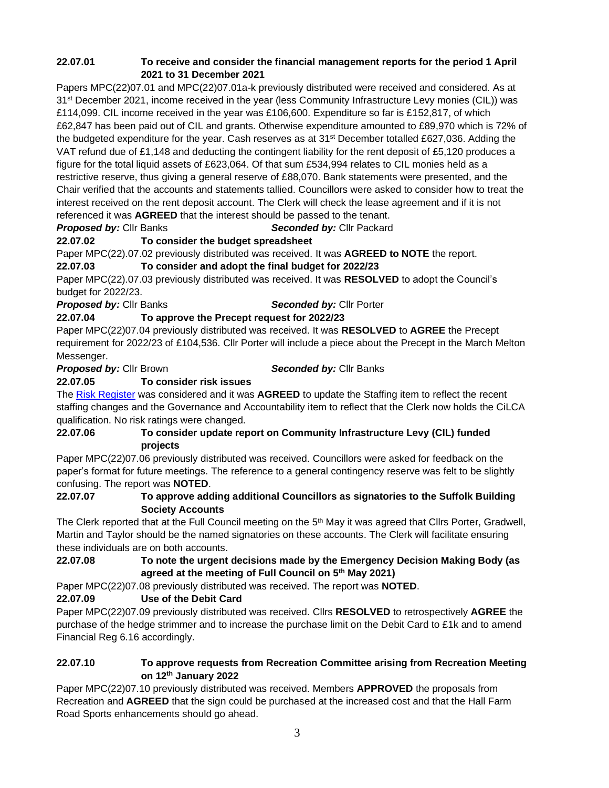### **22.07.01 To receive and consider the financial management reports for the period 1 April 2021 to 31 December 2021**

Papers MPC(22)07.01 and MPC(22)07.01a-k previously distributed were received and considered. As at 31<sup>st</sup> December 2021, income received in the year (less Community Infrastructure Levy monies (CIL)) was £114,099. CIL income received in the year was £106,600. Expenditure so far is £152,817, of which £62,847 has been paid out of CIL and grants. Otherwise expenditure amounted to £89,970 which is 72% of the budgeted expenditure for the year. Cash reserves as at 31st December totalled £627,036. Adding the VAT refund due of £1,148 and deducting the contingent liability for the rent deposit of £5,120 produces a figure for the total liquid assets of £623,064. Of that sum £534,994 relates to CIL monies held as a restrictive reserve, thus giving a general reserve of £88,070. Bank statements were presented, and the Chair verified that the accounts and statements tallied. Councillors were asked to consider how to treat the interest received on the rent deposit account. The Clerk will check the lease agreement and if it is not referenced it was **AGREED** that the interest should be passed to the tenant.

*Proposed by:* Cllr Banks *Seconded by:* Cllr Packard

# **22.07.02 To consider the budget spreadsheet**

Paper MPC(22).07.02 previously distributed was received. It was **AGREED to NOTE** the report.

#### **22.07.03 To consider and adopt the final budget for 2022/23**

Paper MPC(22).07.03 previously distributed was received. It was **RESOLVED** to adopt the Council's budget for 2022/23.

*Proposed by:* Cllr Banks *Seconded by:* Cllr Porter

# **22.07.04 To approve the Precept request for 2022/23**

Paper MPC(22)07.04 previously distributed was received. It was **RESOLVED** to **AGREE** the Precept requirement for 2022/23 of £104,536. Cllr Porter will include a piece about the Precept in the March Melton Messenger.

*Proposed by:* Cllr Brown *Seconded by:* Cllr Banks

# **22.07.05 To consider risk issues**

The [Risk Register](https://melton-suffolk-pc.gov.uk/documents-base/risk-register/) was considered and it was **AGREED** to update the Staffing item to reflect the recent staffing changes and the Governance and Accountability item to reflect that the Clerk now holds the CiLCA qualification. No risk ratings were changed.

#### **22.07.06 To consider update report on Community Infrastructure Levy (CIL) funded projects**

Paper MPC(22)07.06 previously distributed was received. Councillors were asked for feedback on the paper's format for future meetings. The reference to a general contingency reserve was felt to be slightly confusing. The report was **NOTED**.

#### **22.07.07 To approve adding additional Councillors as signatories to the Suffolk Building Society Accounts**

The Clerk reported that at the Full Council meeting on the 5<sup>th</sup> May it was agreed that Cllrs Porter, Gradwell, Martin and Taylor should be the named signatories on these accounts. The Clerk will facilitate ensuring these individuals are on both accounts.

#### **22.07.08 To note the urgent decisions made by the Emergency Decision Making Body (as agreed at the meeting of Full Council on 5th May 2021)**

Paper MPC(22)07.08 previously distributed was received. The report was **NOTED**.

# **22.07.09 Use of the Debit Card**

Paper MPC(22)07.09 previously distributed was received. Cllrs **RESOLVED** to retrospectively **AGREE** the purchase of the hedge strimmer and to increase the purchase limit on the Debit Card to £1k and to amend Financial Reg 6.16 accordingly.

#### **22.07.10 To approve requests from Recreation Committee arising from Recreation Meeting on 12th January 2022**

Paper MPC(22)07.10 previously distributed was received. Members **APPROVED** the proposals from Recreation and **AGREED** that the sign could be purchased at the increased cost and that the Hall Farm Road Sports enhancements should go ahead.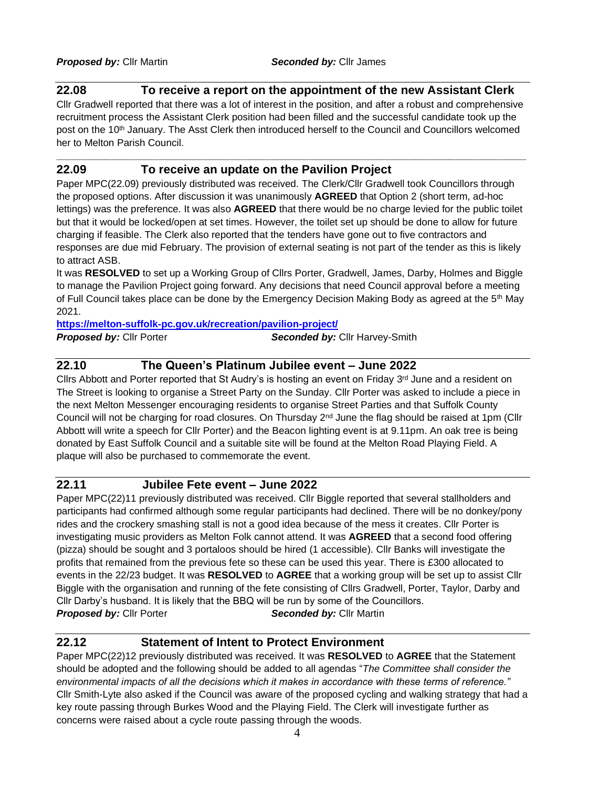#### **22.08 To receive a report on the appointment of the new Assistant Clerk**

Cllr Gradwell reported that there was a lot of interest in the position, and after a robust and comprehensive recruitment process the Assistant Clerk position had been filled and the successful candidate took up the post on the 10th January. The Asst Clerk then introduced herself to the Council and Councillors welcomed her to Melton Parish Council.

**\_\_\_\_\_\_\_\_\_\_\_\_\_\_\_\_\_\_\_\_\_\_\_\_\_\_\_\_\_\_\_\_\_\_\_\_\_\_\_\_\_\_\_\_\_\_\_\_\_\_\_\_\_\_\_\_\_\_\_\_\_\_\_\_\_\_\_\_\_\_\_\_\_\_\_\_\_\_\_\_\_\_\_\_\_** 

# **22.09 To receive an update on the Pavilion Project**

Paper MPC(22.09) previously distributed was received. The Clerk/Cllr Gradwell took Councillors through the proposed options. After discussion it was unanimously **AGREED** that Option 2 (short term, ad-hoc lettings) was the preference. It was also **AGREED** that there would be no charge levied for the public toilet but that it would be locked/open at set times. However, the toilet set up should be done to allow for future charging if feasible. The Clerk also reported that the tenders have gone out to five contractors and responses are due mid February. The provision of external seating is not part of the tender as this is likely to attract ASB.

It was **RESOLVED** to set up a Working Group of Cllrs Porter, Gradwell, James, Darby, Holmes and Biggle to manage the Pavilion Project going forward. Any decisions that need Council approval before a meeting of Full Council takes place can be done by the Emergency Decision Making Body as agreed at the 5<sup>th</sup> May 2021.

#### **<https://melton-suffolk-pc.gov.uk/recreation/pavilion-project/>**

| <b>Proposed by: Cllr Porter</b> | <b>Seconded by: Cllr Harvey-Smith</b> |
|---------------------------------|---------------------------------------|
|---------------------------------|---------------------------------------|

# **22.10 The Queen's Platinum Jubilee event – June 2022**

Cllrs Abbott and Porter reported that St Audry's is hosting an event on Friday  $3<sup>rd</sup>$  June and a resident on The Street is looking to organise a Street Party on the Sunday. Cllr Porter was asked to include a piece in the next Melton Messenger encouraging residents to organise Street Parties and that Suffolk County Council will not be charging for road closures. On Thursday 2<sup>nd</sup> June the flag should be raised at 1pm (Cllr Abbott will write a speech for Cllr Porter) and the Beacon lighting event is at 9.11pm. An oak tree is being donated by East Suffolk Council and a suitable site will be found at the Melton Road Playing Field. A plaque will also be purchased to commemorate the event.

#### **22.11 Jubilee Fete event – June 2022**

Paper MPC(22)11 previously distributed was received. Cllr Biggle reported that several stallholders and participants had confirmed although some regular participants had declined. There will be no donkey/pony rides and the crockery smashing stall is not a good idea because of the mess it creates. Cllr Porter is investigating music providers as Melton Folk cannot attend. It was **AGREED** that a second food offering (pizza) should be sought and 3 portaloos should be hired (1 accessible). Cllr Banks will investigate the profits that remained from the previous fete so these can be used this year. There is £300 allocated to events in the 22/23 budget. It was **RESOLVED** to **AGREE** that a working group will be set up to assist Cllr Biggle with the organisation and running of the fete consisting of Cllrs Gradwell, Porter, Taylor, Darby and Cllr Darby's husband. It is likely that the BBQ will be run by some of the Councillors. **Proposed by: Cllr Porter** *Seconded by: Cllr Martin* 

### **22.12 Statement of Intent to Protect Environment**

Paper MPC(22)12 previously distributed was received. It was **RESOLVED** to **AGREE** that the Statement should be adopted and the following should be added to all agendas "*The Committee shall consider the environmental impacts of all the decisions which it makes in accordance with these terms of reference."* Cllr Smith-Lyte also asked if the Council was aware of the proposed cycling and walking strategy that had a key route passing through Burkes Wood and the Playing Field. The Clerk will investigate further as concerns were raised about a cycle route passing through the woods.